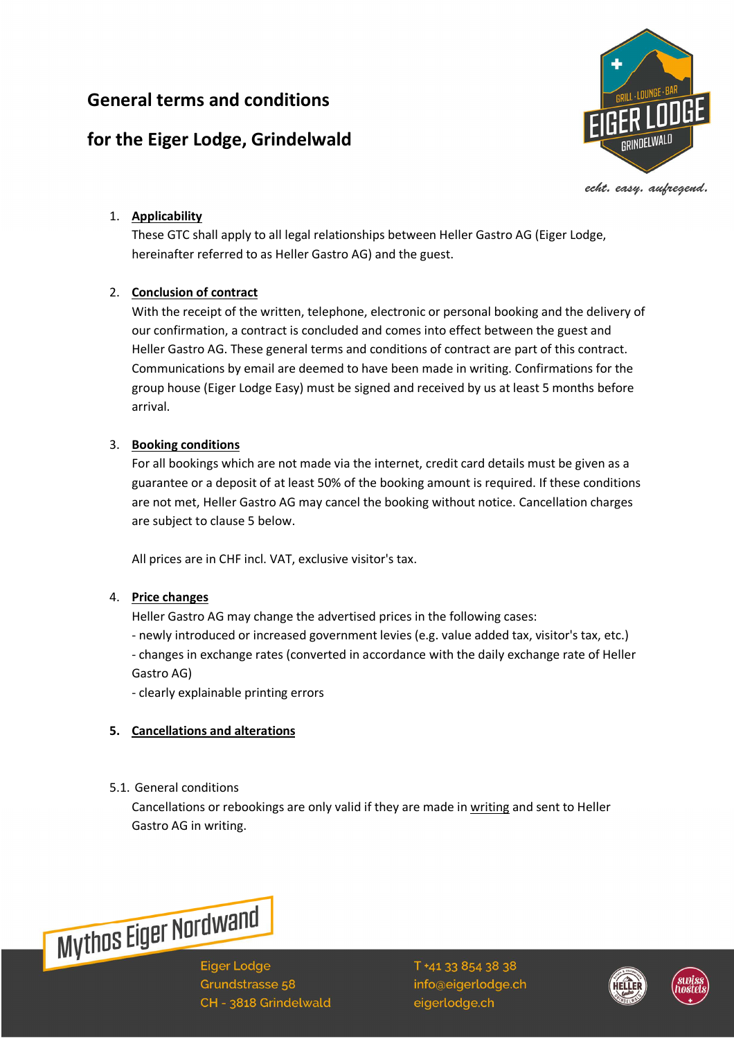# **General terms and conditions**

# **for the Eiger Lodge, Grindelwald**



echt. easy. aufregend.

## 1. **Applicability**

These GTC shall apply to all legal relationships between Heller Gastro AG (Eiger Lodge, hereinafter referred to as Heller Gastro AG) and the guest.

## 2. **Conclusion of contract**

With the receipt of the written, telephone, electronic or personal booking and the delivery of our confirmation, a contract is concluded and comes into effect between the guest and Heller Gastro AG. These general terms and conditions of contract are part of this contract. Communications by email are deemed to have been made in writing. Confirmations for the group house (Eiger Lodge Easy) must be signed and received by us at least 5 months before arrival.

## 3. **Booking conditions**

For all bookings which are not made via the internet, credit card details must be given as a guarantee or a deposit of at least 50% of the booking amount is required. If these conditions are not met, Heller Gastro AG may cancel the booking without notice. Cancellation charges are subject to clause 5 below.

All prices are in CHF incl. VAT, exclusive visitor's tax.

## 4. **Price changes**

Heller Gastro AG may change the advertised prices in the following cases:

- newly introduced or increased government levies (e.g. value added tax, visitor's tax, etc.)

- changes in exchange rates (converted in accordance with the daily exchange rate of Heller Gastro AG)

- clearly explainable printing errors

## **5. Cancellations and alterations**

5.1. General conditions

Cancellations or rebookings are only valid if they are made in writing and sent to Heller Gastro AG in writing.



**Eiger Lodge** Grundstrasse 58 CH - 3818 Grindelwald



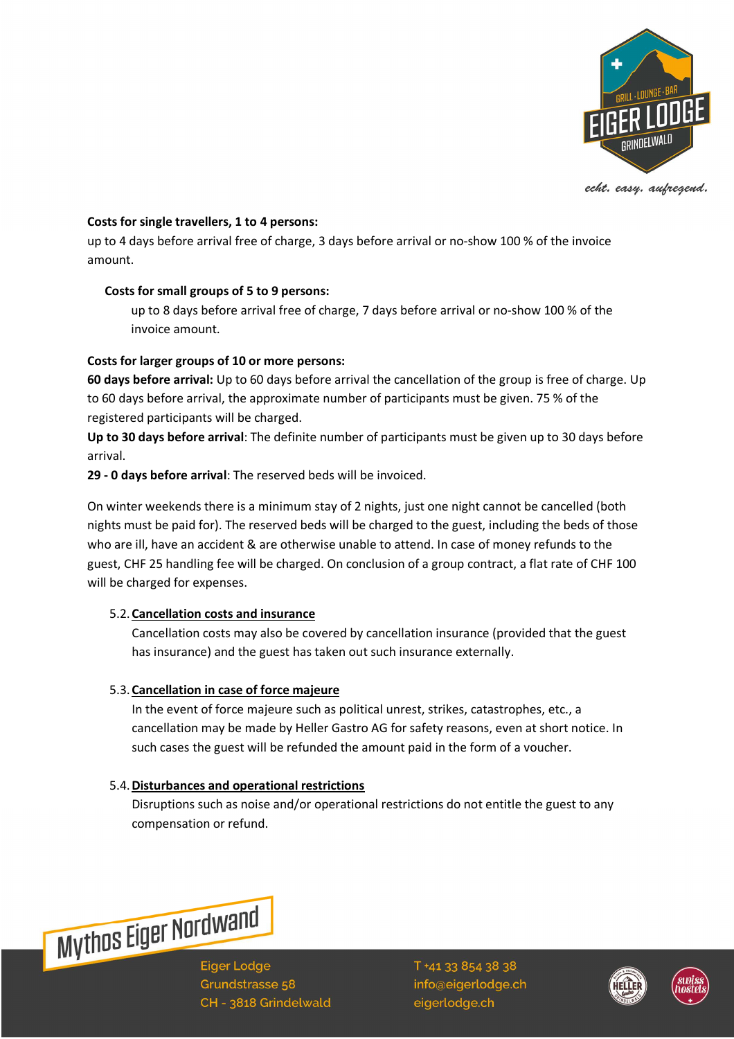

echt. easy. aufregend.

#### **Costs for single travellers, 1 to 4 persons:**

up to 4 days before arrival free of charge, 3 days before arrival or no-show 100 % of the invoice amount.

### **Costs for small groups of 5 to 9 persons:**

up to 8 days before arrival free of charge, 7 days before arrival or no-show 100 % of the invoice amount.

### **Costs for larger groups of 10 or more persons:**

**60 days before arrival:** Up to 60 days before arrival the cancellation of the group is free of charge. Up to 60 days before arrival, the approximate number of participants must be given. 75 % of the registered participants will be charged.

**Up to 30 days before arrival**: The definite number of participants must be given up to 30 days before arrival.

**29 - 0 days before arrival**: The reserved beds will be invoiced.

On winter weekends there is a minimum stay of 2 nights, just one night cannot be cancelled (both nights must be paid for). The reserved beds will be charged to the guest, including the beds of those who are ill, have an accident & are otherwise unable to attend. In case of money refunds to the guest, CHF 25 handling fee will be charged. On conclusion of a group contract, a flat rate of CHF 100 will be charged for expenses.

### 5.2.**Cancellation costs and insurance**

Cancellation costs may also be covered by cancellation insurance (provided that the guest has insurance) and the guest has taken out such insurance externally.

### 5.3.**Cancellation in case of force majeure**

In the event of force majeure such as political unrest, strikes, catastrophes, etc., a cancellation may be made by Heller Gastro AG for safety reasons, even at short notice. In such cases the guest will be refunded the amount paid in the form of a voucher.

### 5.4.**Disturbances and operational restrictions**

Disruptions such as noise and/or operational restrictions do not entitle the guest to any compensation or refund.

**Mythos Eiger Nordwand** 

**Eiger Lodge** Grundstrasse 58 CH - 3818 Grindelwald



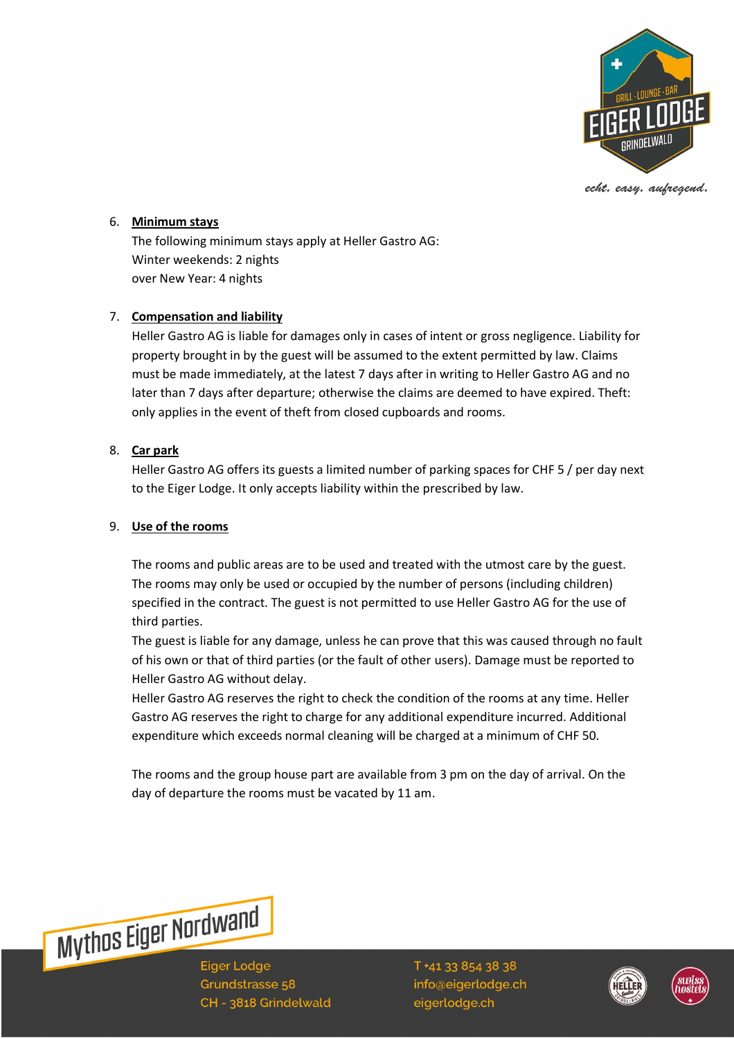

echt. easy. aufregend.

#### 6. **Minimum stays**

The following minimum stays apply at Heller Gastro AG: Winter weekends: 2 nights over New Year: 4 nights

### 7. **Compensation and liability**

Heller Gastro AG is liable for damages only in cases of intent or gross negligence. Liability for property brought in by the guest will be assumed to the extent permitted by law. Claims must be made immediately, at the latest 7 days after in writing to Heller Gastro AG and no later than 7 days after departure; otherwise the claims are deemed to have expired. Theft: only applies in the event of theft from closed cupboards and rooms.

### 8. **Car park**

Heller Gastro AG offers its guests a limited number of parking spaces for CHF 5 / per day next to the Eiger Lodge. It only accepts liability within the prescribed by law.

#### 9. **Use of the rooms**

The rooms and public areas are to be used and treated with the utmost care by the guest. The rooms may only be used or occupied by the number of persons (including children) specified in the contract. The guest is not permitted to use Heller Gastro AG for the use of third parties.

The guest is liable for any damage, unless he can prove that this was caused through no fault of his own or that of third parties (or the fault of other users). Damage must be reported to Heller Gastro AG without delay.

Heller Gastro AG reserves the right to check the condition of the rooms at any time. Heller Gastro AG reserves the right to charge for any additional expenditure incurred. Additional expenditure which exceeds normal cleaning will be charged at a minimum of CHF 50.

The rooms and the group house part are available from 3 pm on the day of arrival. On the day of departure the rooms must be vacated by 11 am.



**Eiger Lodge** Grundstrasse 58 CH - 3818 Grindelwald